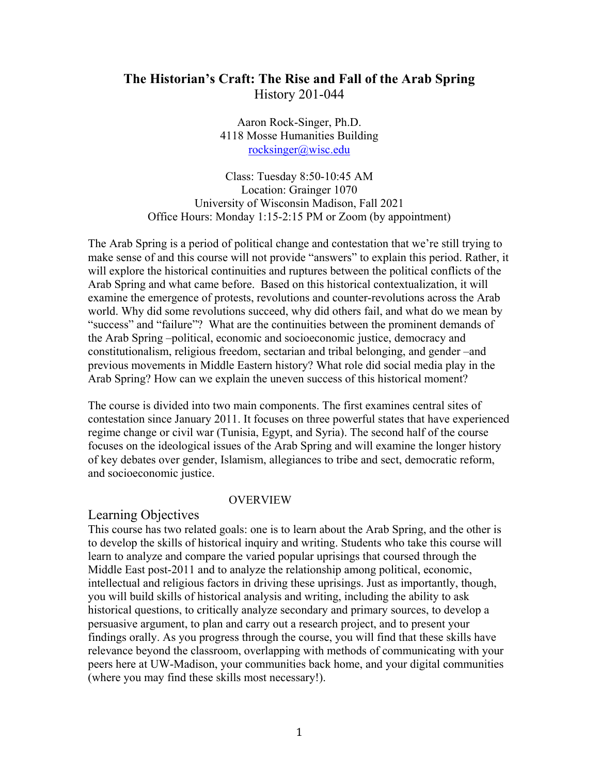# **The Historian's Craft: The Rise and Fall of the Arab Spring**  History 201-044

Aaron Rock-Singer, Ph.D. 4118 Mosse Humanities Building rocksinger@wisc.edu

Class: Tuesday 8:50-10:45 AM Location: Grainger 1070 University of Wisconsin Madison, Fall 2021 Office Hours: Monday 1:15-2:15 PM or Zoom (by appointment)

The Arab Spring is a period of political change and contestation that we're still trying to make sense of and this course will not provide "answers" to explain this period. Rather, it will explore the historical continuities and ruptures between the political conflicts of the Arab Spring and what came before. Based on this historical contextualization, it will examine the emergence of protests, revolutions and counter-revolutions across the Arab world. Why did some revolutions succeed, why did others fail, and what do we mean by "success" and "failure"? What are the continuities between the prominent demands of the Arab Spring –political, economic and socioeconomic justice, democracy and constitutionalism, religious freedom, sectarian and tribal belonging, and gender –and previous movements in Middle Eastern history? What role did social media play in the Arab Spring? How can we explain the uneven success of this historical moment?

The course is divided into two main components. The first examines central sites of contestation since January 2011. It focuses on three powerful states that have experienced regime change or civil war (Tunisia, Egypt, and Syria). The second half of the course focuses on the ideological issues of the Arab Spring and will examine the longer history of key debates over gender, Islamism, allegiances to tribe and sect, democratic reform, and socioeconomic justice.

#### OVERVIEW

#### Learning Objectives

This course has two related goals: one is to learn about the Arab Spring, and the other is to develop the skills of historical inquiry and writing. Students who take this course will learn to analyze and compare the varied popular uprisings that coursed through the Middle East post-2011 and to analyze the relationship among political, economic, intellectual and religious factors in driving these uprisings. Just as importantly, though, you will build skills of historical analysis and writing, including the ability to ask historical questions, to critically analyze secondary and primary sources, to develop a persuasive argument, to plan and carry out a research project, and to present your findings orally. As you progress through the course, you will find that these skills have relevance beyond the classroom, overlapping with methods of communicating with your peers here at UW-Madison, your communities back home, and your digital communities (where you may find these skills most necessary!).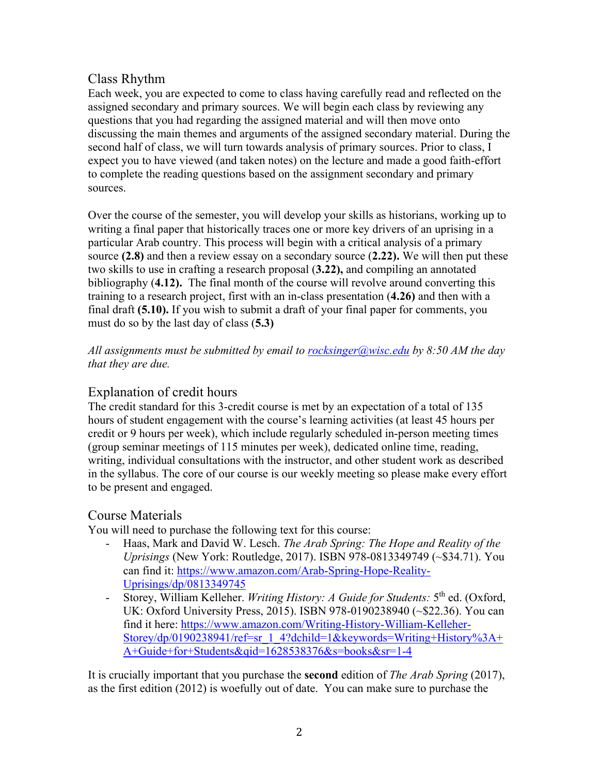# Class Rhythm

Each week, you are expected to come to class having carefully read and reflected on the assigned secondary and primary sources. We will begin each class by reviewing any questions that you had regarding the assigned material and will then move onto discussing the main themes and arguments of the assigned secondary material. During the second half of class, we will turn towards analysis of primary sources. Prior to class, I expect you to have viewed (and taken notes) on the lecture and made a good faith-effort to complete the reading questions based on the assignment secondary and primary sources.

Over the course of the semester, you will develop your skills as historians, working up to writing a final paper that historically traces one or more key drivers of an uprising in a particular Arab country. This process will begin with a critical analysis of a primary source **(2.8)** and then a review essay on a secondary source (**2.22).** We will then put these two skills to use in crafting a research proposal (**3.22),** and compiling an annotated bibliography (**4.12).** The final month of the course will revolve around converting this training to a research project, first with an in-class presentation (**4.26)** and then with a final draft **(5.10).** If you wish to submit a draft of your final paper for comments, you must do so by the last day of class (**5.3)** 

*All assignments must be submitted by email to rocksinger@wisc.edu by 8:50 AM the day that they are due.* 

# Explanation of credit hours

The credit standard for this 3-credit course is met by an expectation of a total of 135 hours of student engagement with the course's learning activities (at least 45 hours per credit or 9 hours per week), which include regularly scheduled in-person meeting times (group seminar meetings of 115 minutes per week), dedicated online time, reading, writing, individual consultations with the instructor, and other student work as described in the syllabus. The core of our course is our weekly meeting so please make every effort to be present and engaged.

# Course Materials

You will need to purchase the following text for this course:

- Haas, Mark and David W. Lesch. *The Arab Spring: The Hope and Reality of the Uprisings* (New York: Routledge, 2017). ISBN 978-0813349749 (~\$34.71). You can find it: https://www.amazon.com/Arab-Spring-Hope-Reality-Uprisings/dp/0813349745
- Storey, William Kelleher. *Writing History: A Guide for Students:* 5th ed. (Oxford, UK: Oxford University Press, 2015). ISBN 978-0190238940 (~\$22.36). You can find it here: https://www.amazon.com/Writing-History-William-Kelleher-Storey/dp/0190238941/ref=sr\_1\_4?dchild=1&keywords=Writing+History%3A+ A+Guide+for+Students&qid=1628538376&s=books&sr=1-4

It is crucially important that you purchase the **second** edition of *The Arab Spring* (2017), as the first edition (2012) is woefully out of date. You can make sure to purchase the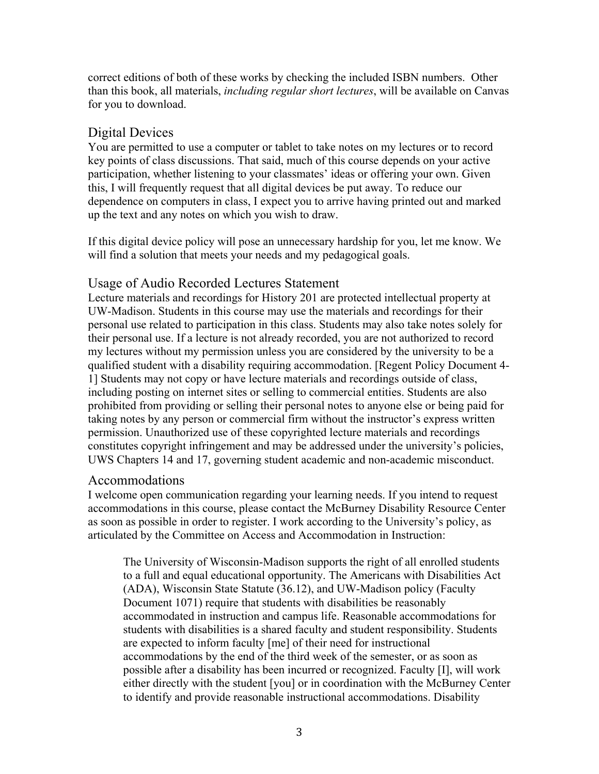correct editions of both of these works by checking the included ISBN numbers. Other than this book, all materials, *including regular short lectures*, will be available on Canvas for you to download.

# Digital Devices

You are permitted to use a computer or tablet to take notes on my lectures or to record key points of class discussions. That said, much of this course depends on your active participation, whether listening to your classmates' ideas or offering your own. Given this, I will frequently request that all digital devices be put away. To reduce our dependence on computers in class, I expect you to arrive having printed out and marked up the text and any notes on which you wish to draw.

If this digital device policy will pose an unnecessary hardship for you, let me know. We will find a solution that meets your needs and my pedagogical goals.

# Usage of Audio Recorded Lectures Statement

Lecture materials and recordings for History 201 are protected intellectual property at UW-Madison. Students in this course may use the materials and recordings for their personal use related to participation in this class. Students may also take notes solely for their personal use. If a lecture is not already recorded, you are not authorized to record my lectures without my permission unless you are considered by the university to be a qualified student with a disability requiring accommodation. [Regent Policy Document 4- 1] Students may not copy or have lecture materials and recordings outside of class, including posting on internet sites or selling to commercial entities. Students are also prohibited from providing or selling their personal notes to anyone else or being paid for taking notes by any person or commercial firm without the instructor's express written permission. Unauthorized use of these copyrighted lecture materials and recordings constitutes copyright infringement and may be addressed under the university's policies, UWS Chapters 14 and 17, governing student academic and non-academic misconduct.

### Accommodations

I welcome open communication regarding your learning needs. If you intend to request accommodations in this course, please contact the McBurney Disability Resource Center as soon as possible in order to register. I work according to the University's policy, as articulated by the Committee on Access and Accommodation in Instruction:

The University of Wisconsin-Madison supports the right of all enrolled students to a full and equal educational opportunity. The Americans with Disabilities Act (ADA), Wisconsin State Statute (36.12), and UW-Madison policy (Faculty Document 1071) require that students with disabilities be reasonably accommodated in instruction and campus life. Reasonable accommodations for students with disabilities is a shared faculty and student responsibility. Students are expected to inform faculty [me] of their need for instructional accommodations by the end of the third week of the semester, or as soon as possible after a disability has been incurred or recognized. Faculty [I], will work either directly with the student [you] or in coordination with the McBurney Center to identify and provide reasonable instructional accommodations. Disability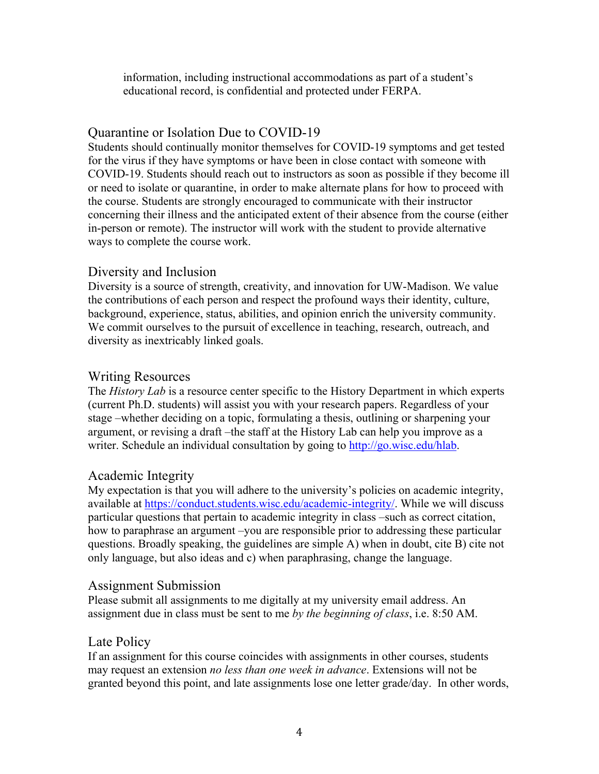information, including instructional accommodations as part of a student's educational record, is confidential and protected under FERPA.

# Quarantine or Isolation Due to COVID-19

Students should continually monitor themselves for COVID-19 symptoms and get tested for the virus if they have symptoms or have been in close contact with someone with COVID-19. Students should reach out to instructors as soon as possible if they become ill or need to isolate or quarantine, in order to make alternate plans for how to proceed with the course. Students are strongly encouraged to communicate with their instructor concerning their illness and the anticipated extent of their absence from the course (either in-person or remote). The instructor will work with the student to provide alternative ways to complete the course work.

## Diversity and Inclusion

Diversity is a source of strength, creativity, and innovation for UW-Madison. We value the contributions of each person and respect the profound ways their identity, culture, background, experience, status, abilities, and opinion enrich the university community. We commit ourselves to the pursuit of excellence in teaching, research, outreach, and diversity as inextricably linked goals.

## Writing Resources

The *History Lab* is a resource center specific to the History Department in which experts (current Ph.D. students) will assist you with your research papers. Regardless of your stage –whether deciding on a topic, formulating a thesis, outlining or sharpening your argument, or revising a draft –the staff at the History Lab can help you improve as a writer. Schedule an individual consultation by going to http://go.wisc.edu/hlab.

# Academic Integrity

My expectation is that you will adhere to the university's policies on academic integrity, available at https://conduct.students.wisc.edu/academic-integrity/. While we will discuss particular questions that pertain to academic integrity in class –such as correct citation, how to paraphrase an argument –you are responsible prior to addressing these particular questions. Broadly speaking, the guidelines are simple A) when in doubt, cite B) cite not only language, but also ideas and c) when paraphrasing, change the language.

### Assignment Submission

Please submit all assignments to me digitally at my university email address. An assignment due in class must be sent to me *by the beginning of class*, i.e. 8:50 AM.

### Late Policy

If an assignment for this course coincides with assignments in other courses, students may request an extension *no less than one week in advance*. Extensions will not be granted beyond this point, and late assignments lose one letter grade/day. In other words,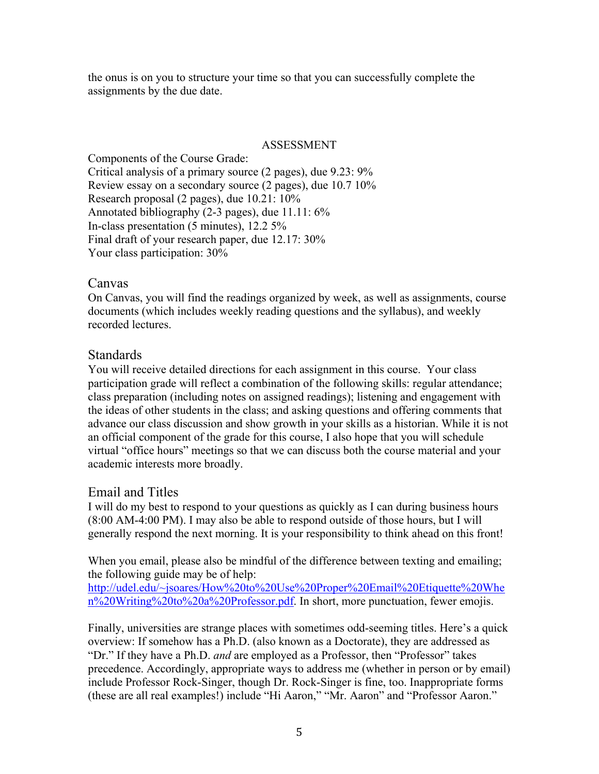the onus is on you to structure your time so that you can successfully complete the assignments by the due date.

#### ASSESSMENT

Components of the Course Grade: Critical analysis of a primary source (2 pages), due 9.23: 9% Review essay on a secondary source (2 pages), due 10.7 10% Research proposal (2 pages), due 10.21: 10% Annotated bibliography (2-3 pages), due 11.11: 6% In-class presentation (5 minutes), 12.2 5% Final draft of your research paper, due 12.17: 30% Your class participation:  $30\%$ 

### Canvas

On Canvas, you will find the readings organized by week, as well as assignments, course documents (which includes weekly reading questions and the syllabus), and weekly recorded lectures.

### **Standards**

You will receive detailed directions for each assignment in this course. Your class participation grade will reflect a combination of the following skills: regular attendance; class preparation (including notes on assigned readings); listening and engagement with the ideas of other students in the class; and asking questions and offering comments that advance our class discussion and show growth in your skills as a historian. While it is not an official component of the grade for this course, I also hope that you will schedule virtual "office hours" meetings so that we can discuss both the course material and your academic interests more broadly.

### Email and Titles

I will do my best to respond to your questions as quickly as I can during business hours (8:00 AM-4:00 PM). I may also be able to respond outside of those hours, but I will generally respond the next morning. It is your responsibility to think ahead on this front!

When you email, please also be mindful of the difference between texting and emailing; the following guide may be of help:

http://udel.edu/~jsoares/How%20to%20Use%20Proper%20Email%20Etiquette%20Whe n%20Writing%20to%20a%20Professor.pdf. In short, more punctuation, fewer emojis.

Finally, universities are strange places with sometimes odd-seeming titles. Here's a quick overview: If somehow has a Ph.D. (also known as a Doctorate), they are addressed as "Dr." If they have a Ph.D. *and* are employed as a Professor, then "Professor" takes precedence. Accordingly, appropriate ways to address me (whether in person or by email) include Professor Rock-Singer, though Dr. Rock-Singer is fine, too. Inappropriate forms (these are all real examples!) include "Hi Aaron," "Mr. Aaron" and "Professor Aaron."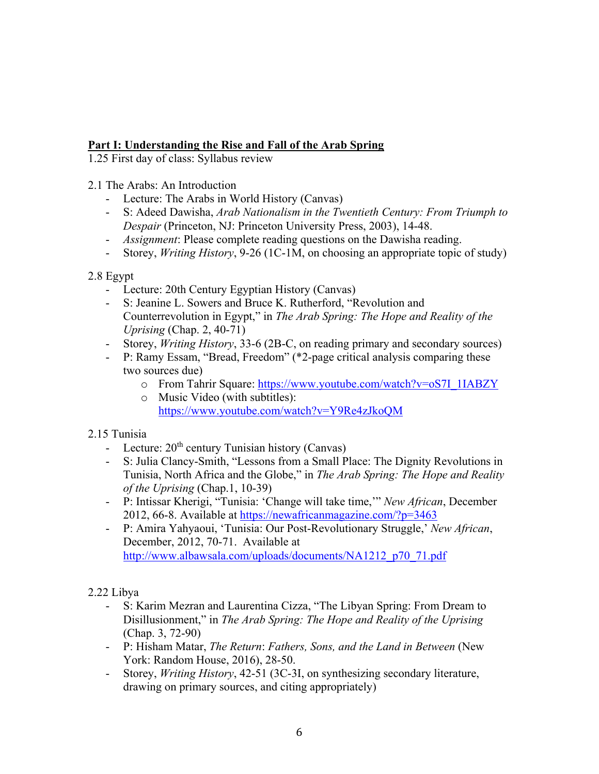## **Part I: Understanding the Rise and Fall of the Arab Spring**

1.25 First day of class: Syllabus review

2.1 The Arabs: An Introduction

- Lecture: The Arabs in World History (Canvas)
- S: Adeed Dawisha, *Arab Nationalism in the Twentieth Century: From Triumph to Despair* (Princeton, NJ: Princeton University Press, 2003), 14-48.
- *Assignment*: Please complete reading questions on the Dawisha reading.
- Storey, *Writing History*, 9-26 (1C-1M, on choosing an appropriate topic of study)

2.8 Egypt

- Lecture: 20th Century Egyptian History (Canvas)
- S: Jeanine L. Sowers and Bruce K. Rutherford, "Revolution and Counterrevolution in Egypt," in *The Arab Spring: The Hope and Reality of the Uprising* (Chap. 2, 40-71)
- Storey, *Writing History*, 33-6 (2B-C, on reading primary and secondary sources)
- P: Ramy Essam, "Bread, Freedom" (\*2-page critical analysis comparing these two sources due)
	- o From Tahrir Square: https://www.youtube.com/watch?v=oS7I\_1IABZY
	- o Music Video (with subtitles): https://www.youtube.com/watch?v=Y9Re4zJkoQM

### 2.15 Tunisia

- Lecture:  $20<sup>th</sup>$  century Tunisian history (Canvas)
- S: Julia Clancy-Smith, "Lessons from a Small Place: The Dignity Revolutions in Tunisia, North Africa and the Globe," in *The Arab Spring: The Hope and Reality of the Uprising* (Chap.1, 10-39)
- P: Intissar Kherigi, "Tunisia: 'Change will take time,'" *New African*, December 2012, 66-8. Available at https://newafricanmagazine.com/?p=3463
- P: Amira Yahyaoui, 'Tunisia: Our Post-Revolutionary Struggle,' *New African*, December, 2012, 70-71. Available at http://www.albawsala.com/uploads/documents/NA1212\_p70\_71.pdf

2.22 Libya

- S: Karim Mezran and Laurentina Cizza, "The Libyan Spring: From Dream to Disillusionment," in *The Arab Spring: The Hope and Reality of the Uprising*  (Chap. 3, 72-90)
- P: Hisham Matar, *The Return*: *Fathers, Sons, and the Land in Between* (New York: Random House, 2016), 28-50.
- Storey, *Writing History*, 42-51 (3C-3I, on synthesizing secondary literature, drawing on primary sources, and citing appropriately)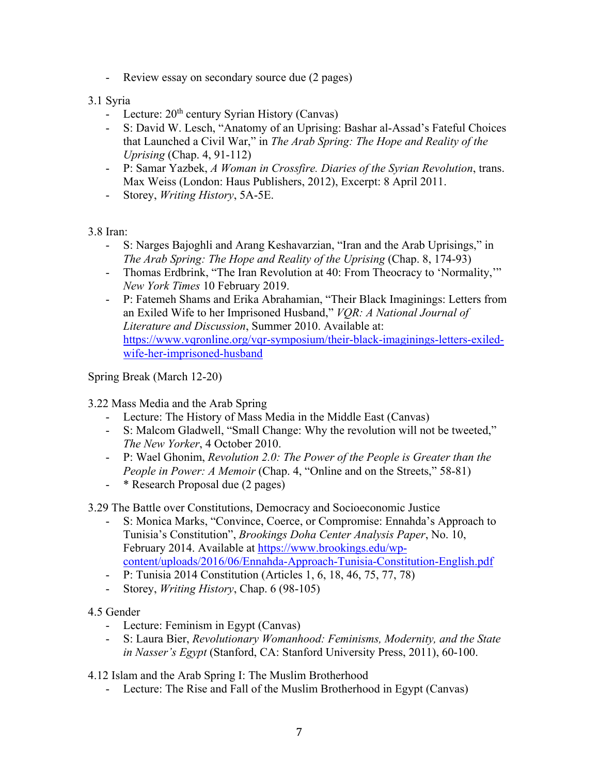- Review essay on secondary source due (2 pages)

### 3.1 Syria

- Lecture:  $20<sup>th</sup>$  century Syrian History (Canvas)
- S: David W. Lesch, "Anatomy of an Uprising: Bashar al-Assad's Fateful Choices that Launched a Civil War," in *The Arab Spring: The Hope and Reality of the Uprising* (Chap. 4, 91-112)
- P: Samar Yazbek, *A Woman in Crossfire. Diaries of the Syrian Revolution*, trans. Max Weiss (London: Haus Publishers, 2012), Excerpt: 8 April 2011.
- Storey, *Writing History*, 5A-5E.

3.8 Iran:

- S: Narges Bajoghli and Arang Keshavarzian, "Iran and the Arab Uprisings," in *The Arab Spring: The Hope and Reality of the Uprising (Chap. 8, 174-93)*
- Thomas Erdbrink, "The Iran Revolution at 40: From Theocracy to 'Normality,'" *New York Times* 10 February 2019.
- P: Fatemeh Shams and Erika Abrahamian, "Their Black Imaginings: Letters from an Exiled Wife to her Imprisoned Husband," *VQR: A National Journal of Literature and Discussion*, Summer 2010. Available at: https://www.vqronline.org/vqr-symposium/their-black-imaginings-letters-exiledwife-her-imprisoned-husband

Spring Break (March 12-20)

3.22 Mass Media and the Arab Spring

- Lecture: The History of Mass Media in the Middle East (Canvas)
- S: Malcom Gladwell, "Small Change: Why the revolution will not be tweeted," *The New Yorker*, 4 October 2010.
- P: Wael Ghonim, *Revolution 2.0: The Power of the People is Greater than the People in Power: A Memoir* (Chap. 4, "Online and on the Streets," 58-81)
- \* Research Proposal due (2 pages)

3.29 The Battle over Constitutions, Democracy and Socioeconomic Justice

- S: Monica Marks, "Convince, Coerce, or Compromise: Ennahda's Approach to Tunisia's Constitution", *Brookings Doha Center Analysis Paper*, No. 10, February 2014. Available at https://www.brookings.edu/wpcontent/uploads/2016/06/Ennahda-Approach-Tunisia-Constitution-English.pdf
- P: Tunisia 2014 Constitution (Articles 1, 6, 18, 46, 75, 77, 78)
- Storey, *Writing History*, Chap. 6 (98-105)

#### 4.5 Gender

- Lecture: Feminism in Egypt (Canvas)
- S: Laura Bier, *Revolutionary Womanhood: Feminisms, Modernity, and the State in Nasser's Egypt* (Stanford, CA: Stanford University Press, 2011), 60-100.

4.12 Islam and the Arab Spring I: The Muslim Brotherhood

- Lecture: The Rise and Fall of the Muslim Brotherhood in Egypt (Canvas)